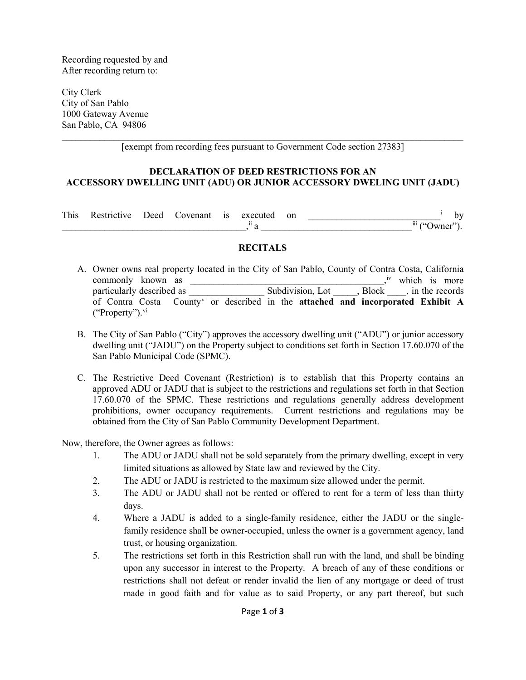Recording requested by and After recording return to:

City Clerk City of San Pablo 1000 Gateway Avenue San Pablo, CA 94806

\_\_\_\_\_\_\_\_\_\_\_\_\_\_\_\_\_\_\_\_\_\_\_\_\_\_\_\_\_\_\_\_\_\_\_\_\_\_\_\_\_\_\_\_\_\_\_\_\_\_\_\_\_\_\_\_\_\_\_\_\_\_\_\_\_\_\_\_\_\_\_\_\_\_\_\_\_\_\_\_\_\_\_\_\_ [exempt from recording fees pursuant to Government Code section 27383]

## **DECLARATION OF DEED RESTRICTIONS FOR AN ACCESSORY DWELLING UNIT (ADU) OR JUNIOR ACCESSORY DWELING UNIT (JADU)**

| This | estrictive: | Jeed | ovenant | 1S | executed     | on |                                |
|------|-------------|------|---------|----|--------------|----|--------------------------------|
|      |             |      |         |    | $\mathbf{H}$ |    | $\cdots$<br>$\bullet$<br>$111$ |

## **RECITALS**

- A. Owner owns real property located in the City of San Pablo, County of Contra Costa, California commonly known as  $\frac{1}{x}$  which is more particularly described as \_\_\_\_\_\_\_\_\_\_\_\_\_\_\_\_ Subdivision, Lot \_\_\_\_\_, Block \_\_\_\_, in the records of Contra Costa County[v](#page-2-4) or described in the **attached and incorporated Exhibit A**  $("Property")$ .  $\rm{vi}$  $\rm{vi}$  $\rm{vi}$
- B. The City of San Pablo ("City") approves the accessory dwelling unit ("ADU") or junior accessory dwelling unit ("JADU") on the Property subject to conditions set forth in Section 17.60.070 of the San Pablo Municipal Code (SPMC).
- C. The Restrictive Deed Covenant (Restriction) is to establish that this Property contains an approved ADU or JADU that is subject to the restrictions and regulations set forth in that Section 17.60.070 of the SPMC. These restrictions and regulations generally address development prohibitions, owner occupancy requirements. Current restrictions and regulations may be obtained from the City of San Pablo Community Development Department.

Now, therefore, the Owner agrees as follows:

- 1. The ADU or JADU shall not be sold separately from the primary dwelling, except in very limited situations as allowed by State law and reviewed by the City.
- 2. The ADU or JADU is restricted to the maximum size allowed under the permit.
- 3. The ADU or JADU shall not be rented or offered to rent for a term of less than thirty days.
- 4. Where a JADU is added to a single-family residence, either the JADU or the singlefamily residence shall be owner-occupied, unless the owner is a government agency, land trust, or housing organization.
- 5. The restrictions set forth in this Restriction shall run with the land, and shall be binding upon any successor in interest to the Property. A breach of any of these conditions or restrictions shall not defeat or render invalid the lien of any mortgage or deed of trust made in good faith and for value as to said Property, or any part thereof, but such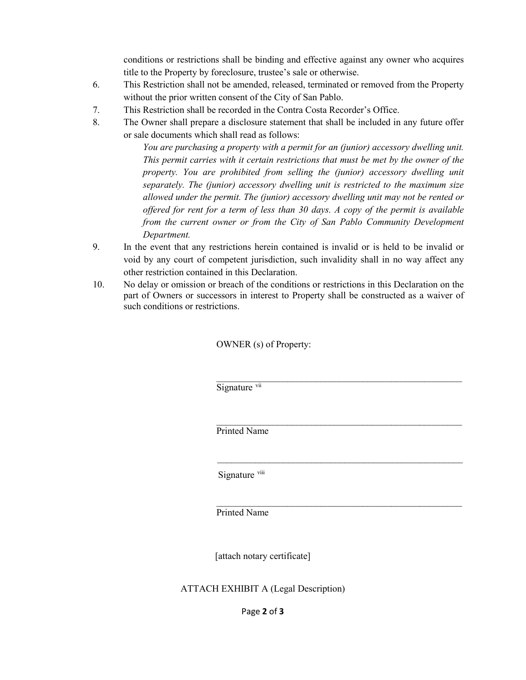conditions or restrictions shall be binding and effective against any owner who acquires title to the Property by foreclosure, trustee's sale or otherwise.

- 6. This Restriction shall not be amended, released, terminated or removed from the Property without the prior written consent of the City of San Pablo.
- 7. This Restriction shall be recorded in the Contra Costa Recorder's Office.
- 8. The Owner shall prepare a disclosure statement that shall be included in any future offer or sale documents which shall read as follows:

*You are purchasing a property with a permit for an (junior) accessory dwelling unit. This permit carries with it certain restrictions that must be met by the owner of the property. You are prohibited from selling the (junior) accessory dwelling unit separately. The (junior) accessory dwelling unit is restricted to the maximum size allowed under the permit. The (junior) accessory dwelling unit may not be rented or offered for rent for a term of less than 30 days. A copy of the permit is available from the current owner or from the City of San Pablo Community Development Department.*

\_\_\_\_\_\_\_\_\_\_\_\_\_\_\_\_\_\_\_\_\_\_\_\_\_\_\_\_\_\_\_\_\_\_\_\_\_\_\_\_\_\_\_\_\_\_\_\_\_\_\_\_

 $\mathcal{L}_\text{max}$  , and the contract of the contract of the contract of the contract of the contract of the contract of the contract of the contract of the contract of the contract of the contract of the contract of the contr

 $\mathcal{L}_\text{max}$  , and the contract of the contract of the contract of the contract of the contract of the contract of the contract of the contract of the contract of the contract of the contract of the contract of the contr

- 9. In the event that any restrictions herein contained is invalid or is held to be invalid or void by any court of competent jurisdiction, such invalidity shall in no way affect any other restriction contained in this Declaration.
- 10. No delay or omission or breach of the conditions or restrictions in this Declaration on the part of Owners or successors in interest to Property shall be constructed as a waiver of such conditions or restrictions.

OWNER (s) of Property:

Signature [vii](#page-2-6)

 $\mathcal{L}_\text{max}$  , and the contract of the contract of the contract of the contract of the contract of the contract of the contract of the contract of the contract of the contract of the contract of the contract of the contr Printed Name

Signature [viii](#page-2-7)

Printed Name

[attach notary certificate]

ATTACH EXHIBIT A (Legal Description)

Page **2** of **3**